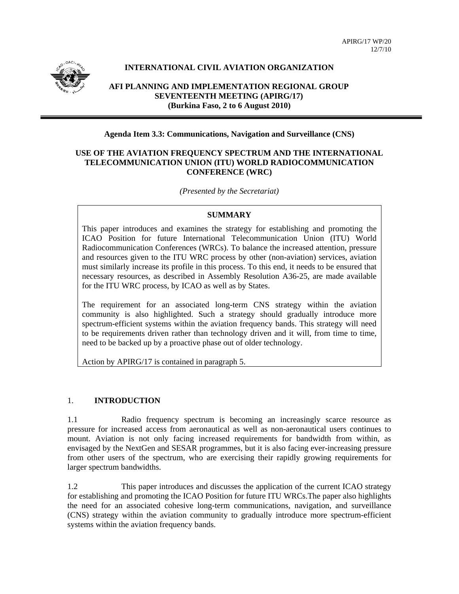

# **INTERNATIONAL CIVIL AVIATION ORGANIZATION**

**AFI PLANNING AND IMPLEMENTATION REGIONAL GROUP SEVENTEENTH MEETING (APIRG/17) (Burkina Faso, 2 to 6 August 2010)** 

## **Agenda Item 3.3: Communications, Navigation and Surveillance (CNS)**

## **USE OF THE AVIATION FREQUENCY SPECTRUM AND THE INTERNATIONAL TELECOMMUNICATION UNION (ITU) WORLD RADIOCOMMUNICATION CONFERENCE (WRC)**

*(Presented by the Secretariat)* 

### **SUMMARY**

This paper introduces and examines the strategy for establishing and promoting the ICAO Position for future International Telecommunication Union (ITU) World Radiocommunication Conferences (WRCs). To balance the increased attention, pressure and resources given to the ITU WRC process by other (non-aviation) services, aviation must similarly increase its profile in this process. To this end, it needs to be ensured that necessary resources, as described in Assembly Resolution A36-25, are made available for the ITU WRC process, by ICAO as well as by States.

The requirement for an associated long-term CNS strategy within the aviation community is also highlighted. Such a strategy should gradually introduce more spectrum-efficient systems within the aviation frequency bands. This strategy will need to be requirements driven rather than technology driven and it will, from time to time, need to be backed up by a proactive phase out of older technology.

Action by APIRG/17 is contained in paragraph 5.

## 1. **INTRODUCTION**

1.1 Radio frequency spectrum is becoming an increasingly scarce resource as pressure for increased access from aeronautical as well as non-aeronautical users continues to mount. Aviation is not only facing increased requirements for bandwidth from within, as envisaged by the NextGen and SESAR programmes, but it is also facing ever-increasing pressure from other users of the spectrum, who are exercising their rapidly growing requirements for larger spectrum bandwidths.

1.2 This paper introduces and discusses the application of the current ICAO strategy for establishing and promoting the ICAO Position for future ITU WRCs.The paper also highlights the need for an associated cohesive long-term communications, navigation, and surveillance (CNS) strategy within the aviation community to gradually introduce more spectrum-efficient systems within the aviation frequency bands.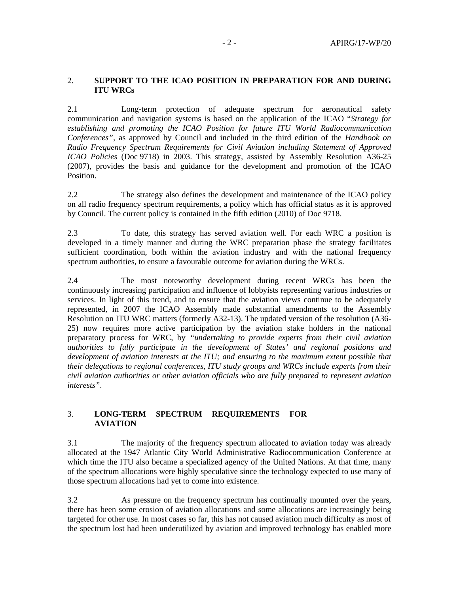### 2. **SUPPORT TO THE ICAO POSITION IN PREPARATION FOR AND DURING ITU WRCs**

2.1 Long-term protection of adequate spectrum for aeronautical safety communication and navigation systems is based on the application of the ICAO "*Strategy for establishing and promoting the ICAO Position for future ITU World Radiocommunication Conferences",* as approved by Council and included in the third edition of the *Handbook on Radio Frequency Spectrum Requirements for Civil Aviation including Statement of Approved ICAO Policies* (Doc 9718) in 2003. This strategy, assisted by Assembly Resolution A36-25 (2007), provides the basis and guidance for the development and promotion of the ICAO Position.

2.2 The strategy also defines the development and maintenance of the ICAO policy on all radio frequency spectrum requirements, a policy which has official status as it is approved by Council. The current policy is contained in the fifth edition (2010) of Doc 9718.

2.3 To date, this strategy has served aviation well. For each WRC a position is developed in a timely manner and during the WRC preparation phase the strategy facilitates sufficient coordination, both within the aviation industry and with the national frequency spectrum authorities, to ensure a favourable outcome for aviation during the WRCs.

2.4 The most noteworthy development during recent WRCs has been the continuously increasing participation and influence of lobbyists representing various industries or services. In light of this trend, and to ensure that the aviation views continue to be adequately represented, in 2007 the ICAO Assembly made substantial amendments to the Assembly Resolution on ITU WRC matters (formerly A32-13). The updated version of the resolution (A36- 25) now requires more active participation by the aviation stake holders in the national preparatory process for WRC, by *"undertaking to provide experts from their civil aviation authorities to fully participate in the development of States' and regional positions and*  development of aviation interests at the ITU; and ensuring to the maximum extent possible that *their delegations to regional conferences, ITU study groups and WRCs include experts from their civil aviation authorities or other aviation officials who are fully prepared to represent aviation interests"*.

## 3. **LONG-TERM SPECTRUM REQUIREMENTS FOR AVIATION**

3.1 The majority of the frequency spectrum allocated to aviation today was already allocated at the 1947 Atlantic City World Administrative Radiocommunication Conference at which time the ITU also became a specialized agency of the United Nations. At that time, many of the spectrum allocations were highly speculative since the technology expected to use many of those spectrum allocations had yet to come into existence.

3.2 As pressure on the frequency spectrum has continually mounted over the years, there has been some erosion of aviation allocations and some allocations are increasingly being targeted for other use. In most cases so far, this has not caused aviation much difficulty as most of the spectrum lost had been underutilized by aviation and improved technology has enabled more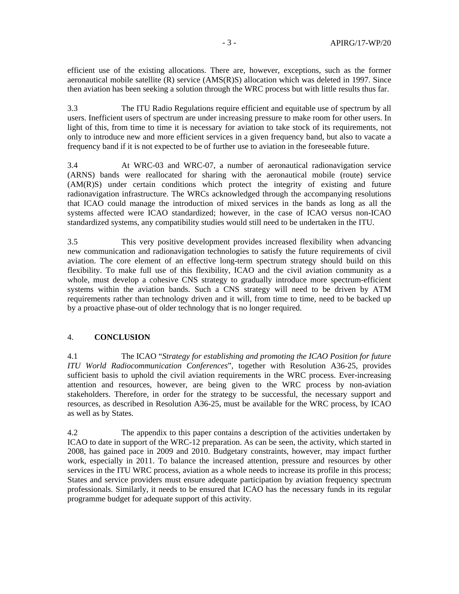efficient use of the existing allocations. There are, however, exceptions, such as the former aeronautical mobile satellite (R) service (AMS(R)S) allocation which was deleted in 1997. Since then aviation has been seeking a solution through the WRC process but with little results thus far.

3.3 The ITU Radio Regulations require efficient and equitable use of spectrum by all users. Inefficient users of spectrum are under increasing pressure to make room for other users. In light of this, from time to time it is necessary for aviation to take stock of its requirements, not only to introduce new and more efficient services in a given frequency band, but also to vacate a frequency band if it is not expected to be of further use to aviation in the foreseeable future.

3.4 At WRC-03 and WRC-07, a number of aeronautical radionavigation service (ARNS) bands were reallocated for sharing with the aeronautical mobile (route) service (AM(R)S) under certain conditions which protect the integrity of existing and future radionavigation infrastructure. The WRCs acknowledged through the accompanying resolutions that ICAO could manage the introduction of mixed services in the bands as long as all the systems affected were ICAO standardized; however, in the case of ICAO versus non-ICAO standardized systems, any compatibility studies would still need to be undertaken in the ITU.

3.5 This very positive development provides increased flexibility when advancing new communication and radionavigation technologies to satisfy the future requirements of civil aviation. The core element of an effective long-term spectrum strategy should build on this flexibility. To make full use of this flexibility, ICAO and the civil aviation community as a whole, must develop a cohesive CNS strategy to gradually introduce more spectrum-efficient systems within the aviation bands. Such a CNS strategy will need to be driven by ATM requirements rather than technology driven and it will, from time to time, need to be backed up by a proactive phase-out of older technology that is no longer required.

### 4. **CONCLUSION**

4.1 The ICAO "*Strategy for establishing and promoting the ICAO Position for future ITU World Radiocommunication Conferences*", together with Resolution A36-25, provides sufficient basis to uphold the civil aviation requirements in the WRC process. Ever-increasing attention and resources, however, are being given to the WRC process by non-aviation stakeholders. Therefore, in order for the strategy to be successful, the necessary support and resources, as described in Resolution A36-25, must be available for the WRC process, by ICAO as well as by States.

4.2 The appendix to this paper contains a description of the activities undertaken by ICAO to date in support of the WRC-12 preparation. As can be seen, the activity, which started in 2008, has gained pace in 2009 and 2010. Budgetary constraints, however, may impact further work, especially in 2011. To balance the increased attention, pressure and resources by other services in the ITU WRC process, aviation as a whole needs to increase its profile in this process; States and service providers must ensure adequate participation by aviation frequency spectrum professionals. Similarly, it needs to be ensured that ICAO has the necessary funds in its regular programme budget for adequate support of this activity.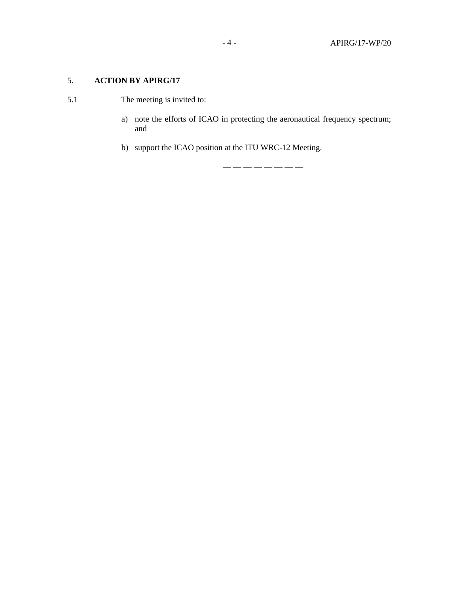# 5. **ACTION BY APIRG/17**

- 5.1 The meeting is invited to:
	- a) note the efforts of ICAO in protecting the aeronautical frequency spectrum; and
	- b) support the ICAO position at the ITU WRC-12 Meeting.

— — — — — — — —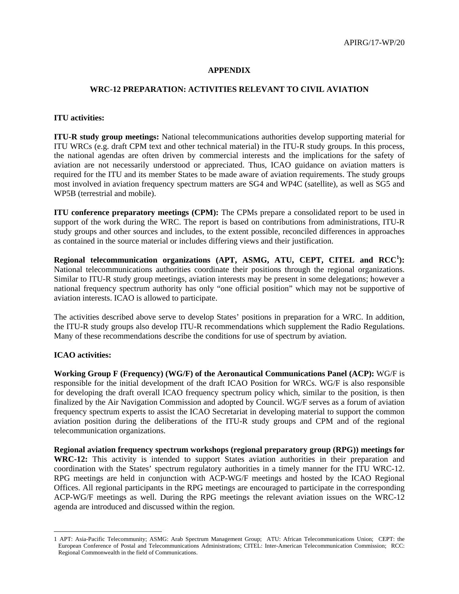### **APPENDIX**

### **WRC-12 PREPARATION: ACTIVITIES RELEVANT TO CIVIL AVIATION**

### **ITU activities:**

**ITU-R study group meetings:** National telecommunications authorities develop supporting material for ITU WRCs (e.g. draft CPM text and other technical material) in the ITU-R study groups. In this process, the national agendas are often driven by commercial interests and the implications for the safety of aviation are not necessarily understood or appreciated. Thus, ICAO guidance on aviation matters is required for the ITU and its member States to be made aware of aviation requirements. The study groups most involved in aviation frequency spectrum matters are SG4 and WP4C (satellite), as well as SG5 and WP5B (terrestrial and mobile).

**ITU conference preparatory meetings (CPM):** The CPMs prepare a consolidated report to be used in support of the work during the WRC. The report is based on contributions from administrations, ITU-R study groups and other sources and includes, to the extent possible, reconciled differences in approaches as contained in the source material or includes differing views and their justification.

**Regional telecommunication organizations (APT, ASMG, ATU, CEPT, CITEL and RCC<sup>1</sup> ):** National telecommunications authorities coordinate their positions through the regional organizations. Similar to ITU-R study group meetings, aviation interests may be present in some delegations; however a national frequency spectrum authority has only "one official position" which may not be supportive of aviation interests. ICAO is allowed to participate.

The activities described above serve to develop States' positions in preparation for a WRC. In addition, the ITU-R study groups also develop ITU-R recommendations which supplement the Radio Regulations. Many of these recommendations describe the conditions for use of spectrum by aviation.

## **ICAO activities:**

1

**Working Group F (Frequency) (WG/F) of the Aeronautical Communications Panel (ACP):** WG/F is responsible for the initial development of the draft ICAO Position for WRCs. WG/F is also responsible for developing the draft overall ICAO frequency spectrum policy which, similar to the position, is then finalized by the Air Navigation Commission and adopted by Council. WG/F serves as a forum of aviation frequency spectrum experts to assist the ICAO Secretariat in developing material to support the common aviation position during the deliberations of the ITU-R study groups and CPM and of the regional telecommunication organizations.

**Regional aviation frequency spectrum workshops (regional preparatory group (RPG)) meetings for WRC-12:** This activity is intended to support States aviation authorities in their preparation and coordination with the States' spectrum regulatory authorities in a timely manner for the ITU WRC-12. RPG meetings are held in conjunction with ACP-WG/F meetings and hosted by the ICAO Regional Offices. All regional participants in the RPG meetings are encouraged to participate in the corresponding ACP-WG/F meetings as well. During the RPG meetings the relevant aviation issues on the WRC-12 agenda are introduced and discussed within the region.

<sup>1</sup> APT: Asia-Pacific Telecommunity; ASMG: Arab Spectrum Management Group; ATU: African Telecommunications Union; CEPT: the European Conference of Postal and Telecommunications Administrations; CITEL: Inter-American Telecommunication Commission; RCC: Regional Commonwealth in the field of Communications.